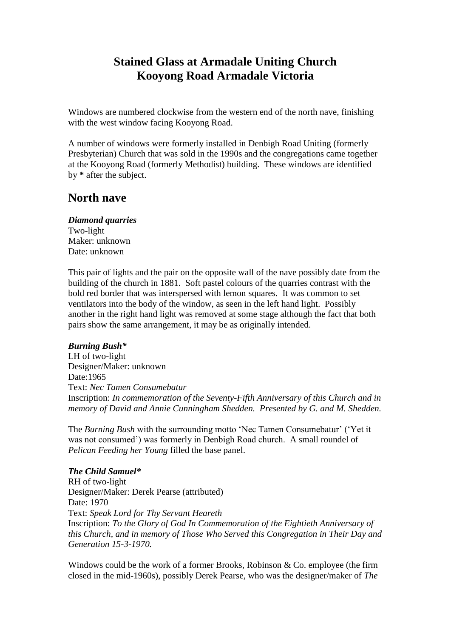# **Stained Glass at Armadale Uniting Church Kooyong Road Armadale Victoria**

Windows are numbered clockwise from the western end of the north nave, finishing with the west window facing Kooyong Road.

A number of windows were formerly installed in Denbigh Road Uniting (formerly Presbyterian) Church that was sold in the 1990s and the congregations came together at the Kooyong Road (formerly Methodist) building. These windows are identified by **\*** after the subject.

## **North nave**

## *Diamond quarries*

Two-light Maker: unknown Date: unknown

This pair of lights and the pair on the opposite wall of the nave possibly date from the building of the church in 1881. Soft pastel colours of the quarries contrast with the bold red border that was interspersed with lemon squares. It was common to set ventilators into the body of the window, as seen in the left hand light. Possibly another in the right hand light was removed at some stage although the fact that both pairs show the same arrangement, it may be as originally intended.

## *Burning Bush\**

LH of two-light Designer/Maker: unknown Date:1965 Text: *Nec Tamen Consumebatur* Inscription: *In commemoration of the Seventy-Fifth Anniversary of this Church and in memory of David and Annie Cunningham Shedden. Presented by G. and M. Shedden.*

The *Burning Bush* with the surrounding motto 'Nec Tamen Consumebatur' ('Yet it was not consumed') was formerly in Denbigh Road church. A small roundel of *Pelican Feeding her Young* filled the base panel.

## *The Child Samuel\**

RH of two-light Designer/Maker: Derek Pearse (attributed) Date: 1970 Text: *Speak Lord for Thy Servant Heareth* Inscription: *To the Glory of God In Commemoration of the Eightieth Anniversary of this Church, and in memory of Those Who Served this Congregation in Their Day and Generation 15-3-1970.*

Windows could be the work of a former Brooks, Robinson & Co. employee (the firm closed in the mid-1960s), possibly Derek Pearse, who was the designer/maker of *The*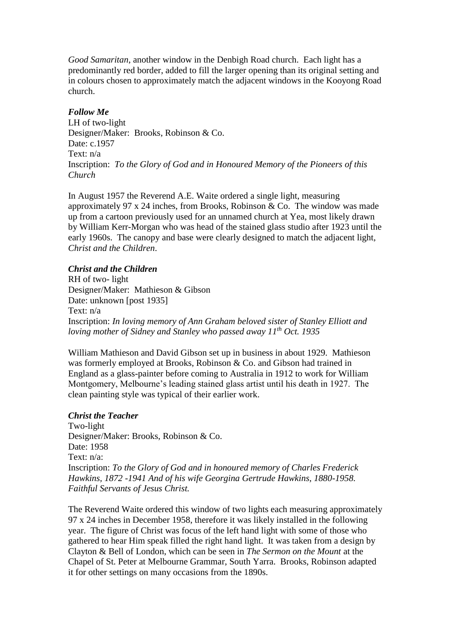*Good Samaritan*, another window in the Denbigh Road church. Each light has a predominantly red border, added to fill the larger opening than its original setting and in colours chosen to approximately match the adjacent windows in the Kooyong Road church.

## *Follow Me*

LH of two-light Designer/Maker: Brooks, Robinson & Co. Date: c.1957 Text: n/a Inscription: *To the Glory of God and in Honoured Memory of the Pioneers of this Church*

In August 1957 the Reverend A.E. Waite ordered a single light, measuring approximately 97 x 24 inches, from Brooks, Robinson & Co. The window was made up from a cartoon previously used for an unnamed church at Yea, most likely drawn by William Kerr-Morgan who was head of the stained glass studio after 1923 until the early 1960s. The canopy and base were clearly designed to match the adjacent light, *Christ and the Children*.

## *Christ and the Children*

RH of two- light Designer/Maker: Mathieson & Gibson Date: unknown [post 1935] Text: n/a Inscription: *In loving memory of Ann Graham beloved sister of Stanley Elliott and loving mother of Sidney and Stanley who passed away 11th Oct. 1935*

William Mathieson and David Gibson set up in business in about 1929. Mathieson was formerly employed at Brooks, Robinson & Co. and Gibson had trained in England as a glass-painter before coming to Australia in 1912 to work for William Montgomery, Melbourne's leading stained glass artist until his death in 1927. The clean painting style was typical of their earlier work.

## *Christ the Teacher*

Two-light Designer/Maker: Brooks, Robinson & Co. Date: 1958 Text: n/a: Inscription: *To the Glory of God and in honoured memory of Charles Frederick Hawkins, 1872 -1941 And of his wife Georgina Gertrude Hawkins, 1880-1958. Faithful Servants of Jesus Christ.*

The Reverend Waite ordered this window of two lights each measuring approximately 97 x 24 inches in December 1958, therefore it was likely installed in the following year. The figure of Christ was focus of the left hand light with some of those who gathered to hear Him speak filled the right hand light. It was taken from a design by Clayton & Bell of London, which can be seen in *The Sermon on the Mount* at the Chapel of St. Peter at Melbourne Grammar, South Yarra. Brooks, Robinson adapted it for other settings on many occasions from the 1890s.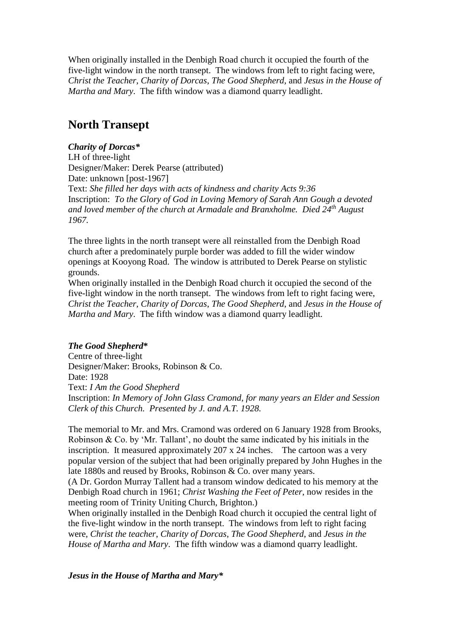When originally installed in the Denbigh Road church it occupied the fourth of the five-light window in the north transept. The windows from left to right facing were, *Christ the Teacher*, *Charity of Dorcas*, *The Good Shepherd*, and *Jesus in the House of Martha and Mary*. The fifth window was a diamond quarry leadlight.

## **North Transept**

## *Charity of Dorcas\** LH of three-light Designer/Maker: Derek Pearse (attributed) Date: unknown [post-1967] Text: *She filled her days with acts of kindness and charity Acts 9:36* Inscription: *To the Glory of God in Loving Memory of Sarah Ann Gough a devoted and loved member of the church at Armadale and Branxholme. Died 24th August 1967.*

The three lights in the north transept were all reinstalled from the Denbigh Road church after a predominately purple border was added to fill the wider window openings at Kooyong Road. The window is attributed to Derek Pearse on stylistic grounds.

When originally installed in the Denbigh Road church it occupied the second of the five-light window in the north transept. The windows from left to right facing were, *Christ the Teacher*, *Charity of Dorcas*, *The Good Shepherd*, and *Jesus in the House of Martha and Mary*. The fifth window was a diamond quarry leadlight.

## *The Good Shepherd***\***

Centre of three-light Designer/Maker: Brooks, Robinson & Co. Date: 1928 Text: *I Am the Good Shepherd* Inscription: *In Memory of John Glass Cramond, for many years an Elder and Session Clerk of this Church. Presented by J. and A.T. 1928.*

The memorial to Mr. and Mrs. Cramond was ordered on 6 January 1928 from Brooks, Robinson & Co. by 'Mr. Tallant', no doubt the same indicated by his initials in the inscription. It measured approximately 207 x 24 inches. The cartoon was a very popular version of the subject that had been originally prepared by John Hughes in the late 1880s and reused by Brooks, Robinson & Co. over many years.

(A Dr. Gordon Murray Tallent had a transom window dedicated to his memory at the Denbigh Road church in 1961; *Christ Washing the Feet of Peter*, now resides in the meeting room of Trinity Uniting Church, Brighton.)

When originally installed in the Denbigh Road church it occupied the central light of the five-light window in the north transept. The windows from left to right facing were, *Christ the teacher*, *Charity of Dorcas*, *The Good Shepherd*, and *Jesus in the House of Martha and Mary*. The fifth window was a diamond quarry leadlight.

## *Jesus in the House of Martha and Mary\**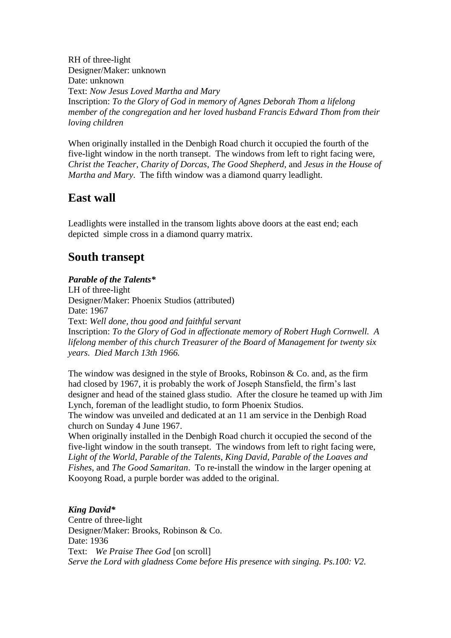RH of three-light Designer/Maker: unknown Date: unknown Text: *Now Jesus Loved Martha and Mary* Inscription: *To the Glory of God in memory of Agnes Deborah Thom a lifelong member of the congregation and her loved husband Francis Edward Thom from their loving children*

When originally installed in the Denbigh Road church it occupied the fourth of the five-light window in the north transept. The windows from left to right facing were, *Christ the Teacher*, *Charity of Dorcas*, *The Good Shepherd*, and *Jesus in the House of Martha and Mary*. The fifth window was a diamond quarry leadlight.

# **East wall**

Leadlights were installed in the transom lights above doors at the east end; each depicted simple cross in a diamond quarry matrix.

# **South transept**

## *Parable of the Talents\**

LH of three-light Designer/Maker: Phoenix Studios (attributed) Date: 1967 Text: *Well done, thou good and faithful servant* Inscription: *To the Glory of God in affectionate memory of Robert Hugh Cornwell. A lifelong member of this church Treasurer of the Board of Management for twenty six years. Died March 13th 1966.*

The window was designed in the style of Brooks, Robinson  $\&$  Co. and, as the firm had closed by 1967, it is probably the work of Joseph Stansfield, the firm's last designer and head of the stained glass studio. After the closure he teamed up with Jim Lynch, foreman of the leadlight studio, to form Phoenix Studios.

The window was unveiled and dedicated at an 11 am service in the Denbigh Road church on Sunday 4 June 1967.

When originally installed in the Denbigh Road church it occupied the second of the five-light window in the south transept. The windows from left to right facing were, *Light of the World*, *Parable of the Talents*, *King David*, *Parable of the Loaves and Fishes*, and *The Good Samaritan*. To re-install the window in the larger opening at Kooyong Road, a purple border was added to the original.

## *King David\**

Centre of three-light Designer/Maker: Brooks, Robinson & Co. Date: 1936 Text: *We Praise Thee God* [on scroll] *Serve the Lord with gladness Come before His presence with singing. Ps.100: V2.*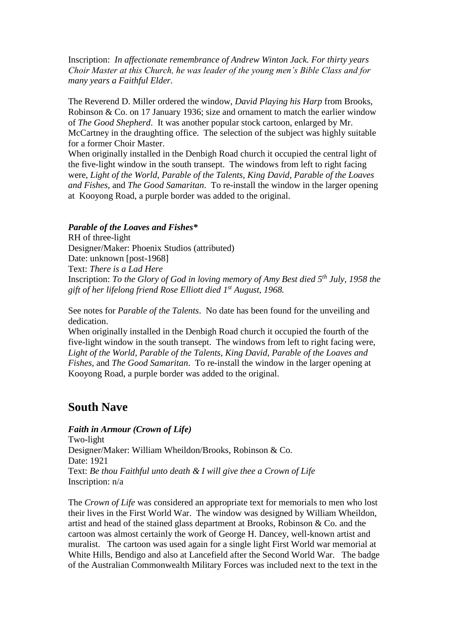Inscription: *In affectionate remembrance of Andrew Winton Jack. For thirty years Choir Master at this Church, he was leader of the young men's Bible Class and for many years a Faithful Elder.*

The Reverend D. Miller ordered the window, *David Playing his Harp* from Brooks, Robinson & Co. on 17 January 1936; size and ornament to match the earlier window of *The Good Shepherd*. It was another popular stock cartoon, enlarged by Mr. McCartney in the draughting office. The selection of the subject was highly suitable for a former Choir Master.

When originally installed in the Denbigh Road church it occupied the central light of the five-light window in the south transept. The windows from left to right facing were, *Light of the World*, *Parable of the Talents*, *King David*, *Parable of the Loaves and Fishes*, and *The Good Samaritan*. To re-install the window in the larger opening at Kooyong Road, a purple border was added to the original.

#### *Parable of the Loaves and Fishes\**

RH of three-light Designer/Maker: Phoenix Studios (attributed) Date: unknown [post-1968] Text: *There is a Lad Here* Inscription: *To the Glory of God in loving memory of Amy Best died 5th July, 1958 the gift of her lifelong friend Rose Elliott died 1st August, 1968.*

See notes for *Parable of the Talents*. No date has been found for the unveiling and dedication.

When originally installed in the Denbigh Road church it occupied the fourth of the five-light window in the south transept. The windows from left to right facing were, *Light of the World*, *Parable of the Talents*, *King David*, *Parable of the Loaves and Fishes*, and *The Good Samaritan*. To re-install the window in the larger opening at Kooyong Road, a purple border was added to the original.

## **South Nave**

*Faith in Armour (Crown of Life)* Two-light Designer/Maker: William Wheildon/Brooks, Robinson & Co. Date: 1921 Text: *Be thou Faithful unto death & I will give thee a Crown of Life* Inscription: n/a

The *Crown of Life* was considered an appropriate text for memorials to men who lost their lives in the First World War. The window was designed by William Wheildon, artist and head of the stained glass department at Brooks, Robinson & Co. and the cartoon was almost certainly the work of George H. Dancey, well-known artist and muralist. The cartoon was used again for a single light First World war memorial at White Hills, Bendigo and also at Lancefield after the Second World War. The badge of the Australian Commonwealth Military Forces was included next to the text in the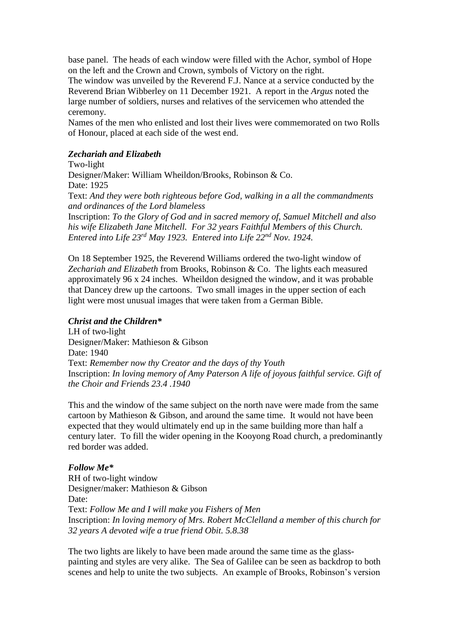base panel. The heads of each window were filled with the Achor, symbol of Hope on the left and the Crown and Crown, symbols of Victory on the right.

The window was unveiled by the Reverend F.J. Nance at a service conducted by the Reverend Brian Wibberley on 11 December 1921. A report in the *Argus* noted the large number of soldiers, nurses and relatives of the servicemen who attended the ceremony.

Names of the men who enlisted and lost their lives were commemorated on two Rolls of Honour, placed at each side of the west end.

## *Zechariah and Elizabeth*

Two-light Designer/Maker: William Wheildon/Brooks, Robinson & Co. Date: 1925 Text: *And they were both righteous before God, walking in a all the commandments and ordinances of the Lord blameless* Inscription: *To the Glory of God and in sacred memory of, Samuel Mitchell and also his wife Elizabeth Jane Mitchell. For 32 years Faithful Members of this Church. Entered into Life 23rd May 1923. Entered into Life 22nd Nov. 1924.*

On 18 September 1925, the Reverend Williams ordered the two-light window of *Zechariah and Elizabeth* from Brooks, Robinson & Co. The lights each measured approximately 96 x 24 inches. Wheildon designed the window, and it was probable that Dancey drew up the cartoons. Two small images in the upper section of each light were most unusual images that were taken from a German Bible.

#### *Christ and the Children\**

LH of two-light Designer/Maker: Mathieson & Gibson Date: 1940 Text: *Remember now thy Creator and the days of thy Youth* Inscription: *In loving memory of Amy Paterson A life of joyous faithful service. Gift of the Choir and Friends 23.4 .1940*

This and the window of the same subject on the north nave were made from the same cartoon by Mathieson & Gibson, and around the same time. It would not have been expected that they would ultimately end up in the same building more than half a century later. To fill the wider opening in the Kooyong Road church, a predominantly red border was added.

## *Follow Me\**

RH of two-light window Designer/maker: Mathieson & Gibson Date: Text: *Follow Me and I will make you Fishers of Men* Inscription: *In loving memory of Mrs. Robert McClelland a member of this church for 32 years A devoted wife a true friend Obit. 5.8.38*

The two lights are likely to have been made around the same time as the glasspainting and styles are very alike. The Sea of Galilee can be seen as backdrop to both scenes and help to unite the two subjects. An example of Brooks, Robinson's version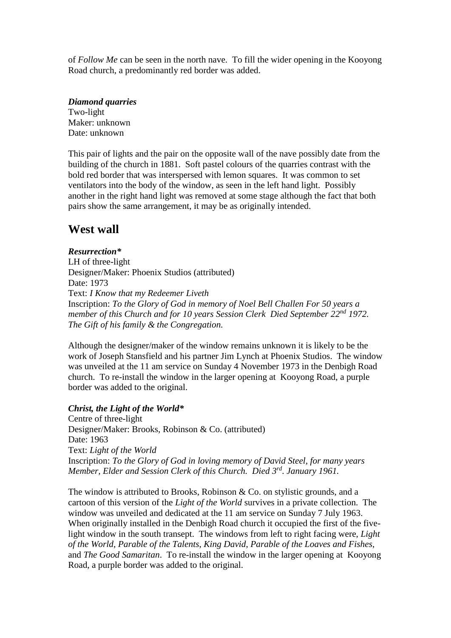of *Follow Me* can be seen in the north nave. To fill the wider opening in the Kooyong Road church, a predominantly red border was added.

### *Diamond quarries*

Two-light Maker: unknown Date: unknown

This pair of lights and the pair on the opposite wall of the nave possibly date from the building of the church in 1881. Soft pastel colours of the quarries contrast with the bold red border that was interspersed with lemon squares. It was common to set ventilators into the body of the window, as seen in the left hand light. Possibly another in the right hand light was removed at some stage although the fact that both pairs show the same arrangement, it may be as originally intended.

## **West wall**

## *Resurrection\**

LH of three-light Designer/Maker: Phoenix Studios (attributed) Date: 1973 Text: *I Know that my Redeemer Liveth* Inscription: *To the Glory of God in memory of Noel Bell Challen For 50 years a member of this Church and for 10 years Session Clerk Died September 22nd 1972. The Gift of his family & the Congregation.*

Although the designer/maker of the window remains unknown it is likely to be the work of Joseph Stansfield and his partner Jim Lynch at Phoenix Studios. The window was unveiled at the 11 am service on Sunday 4 November 1973 in the Denbigh Road church. To re-install the window in the larger opening at Kooyong Road, a purple border was added to the original.

## *Christ, the Light of the World\**

Centre of three-light Designer/Maker: Brooks, Robinson & Co. (attributed) Date: 1963 Text: *Light of the World* Inscription: *To the Glory of God in loving memory of David Steel, for many years Member, Elder and Session Clerk of this Church. Died 3rd. January 1961.*

The window is attributed to Brooks, Robinson & Co. on stylistic grounds, and a cartoon of this version of the *Light of the World* survives in a private collection. The window was unveiled and dedicated at the 11 am service on Sunday 7 July 1963. When originally installed in the Denbigh Road church it occupied the first of the fivelight window in the south transept. The windows from left to right facing were, *Light of the World*, *Parable of the Talents*, *King David*, *Parable of the Loaves and Fishes*, and *The Good Samaritan*. To re-install the window in the larger opening at Kooyong Road, a purple border was added to the original.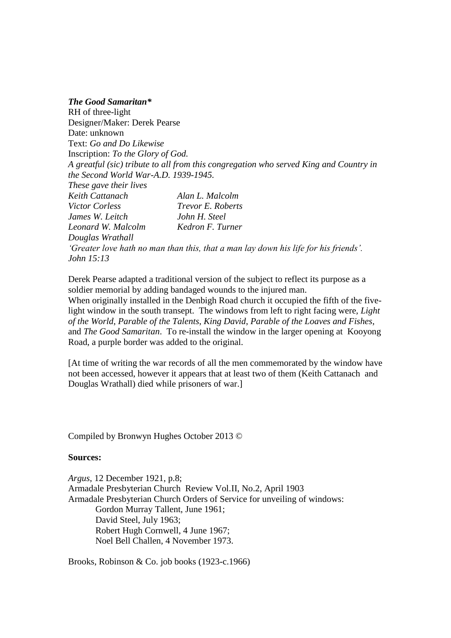*The Good Samaritan\** RH of three-light Designer/Maker: Derek Pearse Date: unknown Text: *Go and Do Likewise* Inscription: *To the Glory of God. A greatful (sic) tribute to all from this congregation who served King and Country in the Second World War-A.D. 1939-1945. These gave their lives Keith Cattanach Alan L. Malcolm Victor Corless Trevor E. Roberts James W. Leitch John H. Steel Leonard W. Malcolm Kedron F. Turner Douglas Wrathall 'Greater love hath no man than this, that a man lay down his life for his friends'. John 15:13*

Derek Pearse adapted a traditional version of the subject to reflect its purpose as a soldier memorial by adding bandaged wounds to the injured man. When originally installed in the Denbigh Road church it occupied the fifth of the five-

light window in the south transept. The windows from left to right facing were, *Light of the World*, *Parable of the Talents*, *King David*, *Parable of the Loaves and Fishes*, and *The Good Samaritan*. To re-install the window in the larger opening at Kooyong Road, a purple border was added to the original.

[At time of writing the war records of all the men commemorated by the window have not been accessed, however it appears that at least two of them (Keith Cattanach and Douglas Wrathall) died while prisoners of war.]

Compiled by Bronwyn Hughes October 2013 ©

#### **Sources:**

*Argus*, 12 December 1921, p.8; Armadale Presbyterian Church Review Vol.II, No.2, April 1903 Armadale Presbyterian Church Orders of Service for unveiling of windows: Gordon Murray Tallent, June 1961; David Steel, July 1963; Robert Hugh Cornwell, 4 June 1967; Noel Bell Challen, 4 November 1973.

Brooks, Robinson & Co. job books (1923-c.1966)